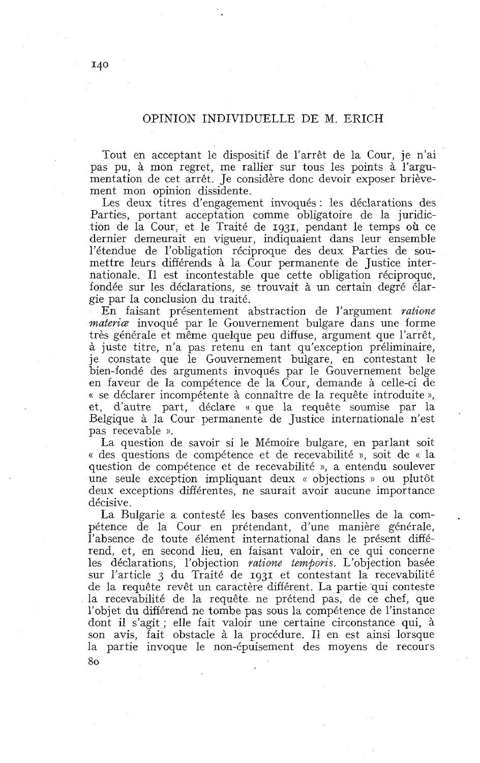# OPINION INDIVIDUELLE DE M. ERICH

Tout en acceptant le dispositif de l'arrêt de la Cour, je n'ai pas pu, à mon regret, me rallier sur tous les points à l'argumentation de cet arrêt. Je considère donc devoir exposer brièvement mon opinion dissidente.

Les deux titres d'engagement invoqués : les déclarations des Parties, portant acceptation comme obligatoire de la juridiction de la Cour, et le Traité de **1931,** pendant le temps où ce dernier demeurait en vigueur, indiquaient dans leur ensemble l'étendue de l'obligation réciproque des deux Parties de soumettre leurs différends à la Cour permanente de Justice internationale. 11 est incontestable que cette obligation réciproque, fondée sur les déclarations, se trouvait à un certain degré élargie par la conclusion du traité.

En faisant présentement abstraction de l'argument *ratione materia* invoqué par le Gouvernement bulgare dans une forme très générale et même quelque peu diffuse, argument que l'arrêt, à juste titre, n'a pas retenu en tant qu'exception préliminaire, je constate que le Gouvernement bulgare, en contestant le bien-fondé des arguments invoqués par le Gouvernement belge en faveur de la compétence de la Cour, demande à celle-ci de « se déclarer incompétente à connaître de la requête introduite », et, d'autre part, déclare « que la requête soumise par la Belgique à la Cour permanente de Justice internationale n'est pas recevable ».

La question de savoir si le Mémoire bulgare, en parlant soit « des questions de compétence et de recevabilité », soit de « la question de compétence et de recevabilité », a entendu soulever une seule exception impliquant deux « objections » ou plutôt deux exceptions différentes, ne saurait avoir aucune importance décisive.

La Bulgarie a contesté les bases conventionnelles de la com-<br> pétence de la Cour en prétendant, d'une manière générale, l'absence de toute élément international dans le présent différend, et, en second lieu, en faisant valoir, en ce qui concerne les déclarations, l'objection *ratione temporis.* L'objection basée sur l'article 3 du Traité de **1931** et contestant la recevabilité de la requête revêt un caractère différent. La partie qui conteste la recevabilité de la requête ne prétend pas, de ce chef, que l'objet du différend ne tombe pas sous la compétence de l'instance dont il s'agit ; elle fait valoir une certaine circonstance qui, <sup>à</sup> son avis, fait obstacle à la procédure. Il en est ainsi lorsque la partie invoque le non-épuisement des moyens de recours 80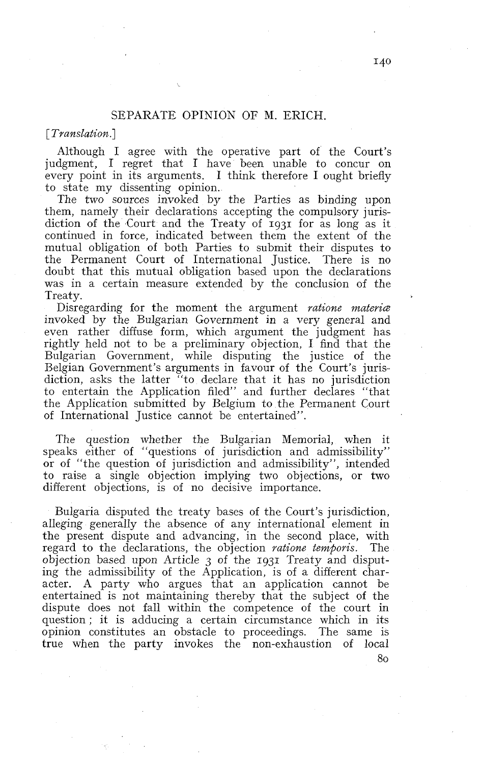### SEPARATE OPINION OF M. ERICH.

### [ *Translation.]*

Although 1 agree with the operative part of the Court's judgment, 1 regret that **1** have been unable to concur on every point in its arguments. 1 think therefore 1 ought briefly to state my dissenting opinion.

The two sources invoked by the Parties as binding upon them, namely their declarations accepting the compulsory jurisdiction of the Court and the Treaty of **1931** for as long as it continued in force, indicated between them the extent of the mutual obligation of both Parties to submit their disputes to the Permanent Court of International Justice. There is no doubt that this mutual obligation based upon the declarations was in a certain measure extended by the conclusion of the Treaty.

Disregarding for the moment the argument *ratione materiæ*  invoked by the Bulgarian Government in a very general and even rather diffuse form, which argument the judgment has rightly held not to be a preliminary objection, 1 find that the Bulgarian Government, while disputing the justice of the Belgian Government's arguments in favour of the Court's jurisdiction, asks the latter "to declare that it has no jurisdiction to entertain the Application filed" and further declares "that the Application submitted by Belgium to the Permanent Court of International Justice cannot be entertained".

The question whether the Bulgarian Memorial, when it speaks either of "questions of jurisdiction and admissibility" or of "the question of jurisdiction and admissibility", intended to raise a single objection implying two objections, or two different objections, is of no decisive importance.

Bulgaria disputed the treaty bases of the Court's jurisdiction, alleging generally the absence of any international element in the present dispute and advancing, in the second place, with regard to the declarations, the objection *ratione temporis*. The regard to the declarations, the objection *ratione temporis*. objection based upon Article 3 of the **1931** Treaty and disputing the admissibility of the Application, is of a different character. A party who argues that an application cannot be entertained is not maintaining thereby that the subject of the dispute does not fa11 within the competence of the court in question ; it is adducing a certain circumstance which in its opinion constitutes an obstacle to proceedings. The same is true when the party invokes the non-exhaustion of local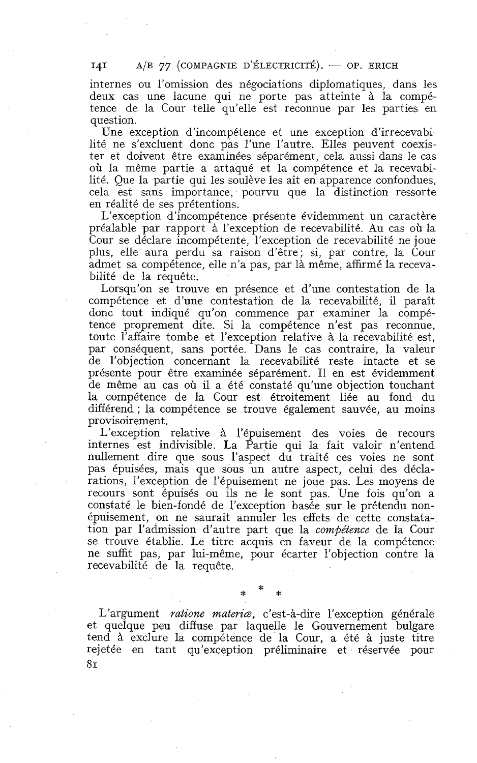#### $I4I$  $A/B$  77 (COMPAGNIE D'ÉLECTRICITÉ). — OP. ERICH

internes ou l'omission des négociations diplomatiques, dans les deux cas une lacune qui ne porte pas atteinte à la compétence de la Cour telle qu'elle est reconnue par les parties en auestion.

Une exception d'incompétence et une exception d'irrecevabilité ne s'excluent donc pas l'une l'autre. Elles peuvent coexister et doivent être examinées séparément, cela aussi dans le cas où la même partie a attaqué et la compétence et la recevabilité. Que la partie qui les soulève les ait en apparence confondues, cela est sans importance, pourvu que la distinction ressorte en réalité de ses prétentions.

L'exception d'incompétence présente évidemment un caractère préalable par rapport à l'exception de recevabilité. Au cas où la Cour se déclare incompétente, l'exception de recevabilité ne joue plus, elle aura perdu sa raison d'être; si, par contre, la Cour admet sa compétence, elle n'a pas, par là même, affirmé la recevabilité de la requête.

Lorsqu'on se trouve en présence et d'une contestation de la compétence et d'une contestation de la recevabilité, il parait donc tout indiqué qu'on commence par examiner la compétence proprement dite. Si la compétence n'est pas reconnue, toute l'affaire tombe et l'exception relative à la recevabilité est, par conséquent, sans portée. Dans le cas contraire, la valeur de l'objection concernant la recevabilité reste intacte et se présente pour être examinée séparément. Il en est évidemment de même au cas où il a été constaté qu'une objection touchant la compétence de la Cour est étroitement liée au fond du différend ; la compétence se trouve également sauvée, au moins provisoirement.

L'exception relative à l'épuisement des voies de recours internes est indivisible. La Partie qui la fait valoir n'entend nullement dire que sous l'aspect du traité ces voies ne sont pas épuisées, mais que sous un autre aspect, celui des déclarations, l'exception de l'épuisement ne joue pas. Les moyens de recours sont épuisés ou ils ne le sont pas. Une fois qu'on a constaté le bien-fondé de l'exception basée sur le prétendu nonépuisement, on ne saurait annuler les effets de cette constatation par l'admission d'autre part que la *cowétence* de la Cour se trouve établie. Le titre acquis en faveur de la compétence ne suffit pas, par lui-même, pour écarter l'objection contre la recevabilité de la requête.

L'argument *ratione materiæ,* c'est-à-dire l'exception générale et quelque peu diffuse par laquelle le Gouvernement bulgare tend à exclure la compétence de la Cour, a été à juste titre rejetée en tant qu'exception préliminaire et réservée pour **81**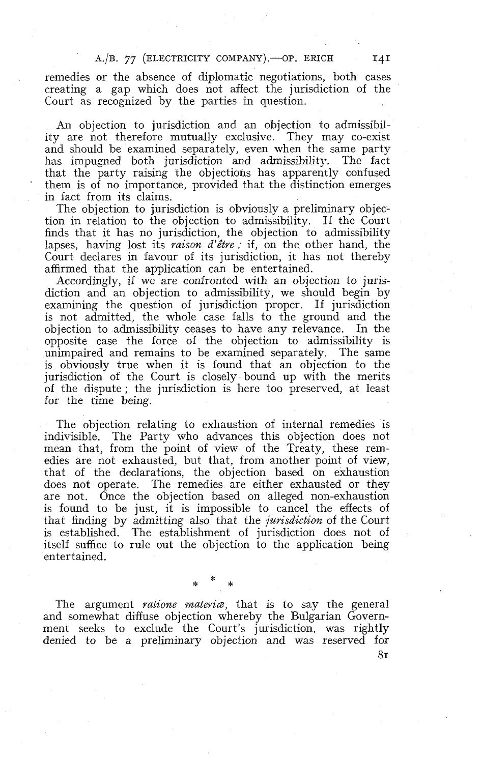remedies or the absence of diplomatic negotiations, both cases creating a gap which does not affect the jurisdiction of the Court as recognized by the parties in question.

An objection to jurisdiction and an objection to admissibility are not therefore mutually exclusive. They may CO-exist and should be examined separately, even when the same party has impugned both jurisdiction and admissibility. The fact that the party raising the objections has apparently confused them is of no importance, provided that the distinction emerges in fact from its claims.

The objection to jurisdiction is obviously a preliminary objection in relation to the objection to admissibility. If the Court finds that it has no jurisdiction, the objection to admissibility lapses, having lost its *raison d'être;* if, on the other hand, the Court declares in favour of its jurisdiction, it has not thereby affirmed that the application can be entertained.

Accordingly, if we are confronted with an objection to jurisdiction and an objection to admissibility, we should begin by examining the question of jurisdiction proper. If jurisdiction is not admitted, the whole case falls to the ground and the objection to admissibility ceases to have any relevance. In the opposite case the force of the objection to admissibility is unimpaired and remains to be examined separately. The same is obviously true when it is found that an objection to the jurisdiction of the Court is closely. bound up with the merits of the dispute ; the jurisdiction is here too preserved, at least for the time being.

The objection relating to exhaustion of interna1 remedies is indivisible. The Party who advances this objection does not mean that, from the point of view of the Treaty, these remedies are not exhausted, but that, from another point of view, that of the declarations, the objection based on exhaustion does not operate. The remedies are either exhausted or they are not. Once the objection based on alleged non-exhaustion is found to be just, it is impossible to cancel the effects of that finding by admitting also that the *jwisdiction* of the Court is established. The establishment of jurisdiction does not of itself suffice to rule out the objection to the application being entertained.

The argument *ratione materia*, that is to say the general and somewhat diffuse objection whereby the Bulgarian Government seeks to exclude the Court's jurisdiction, was rightly denied to be a preliminary objection and was reserved for

8т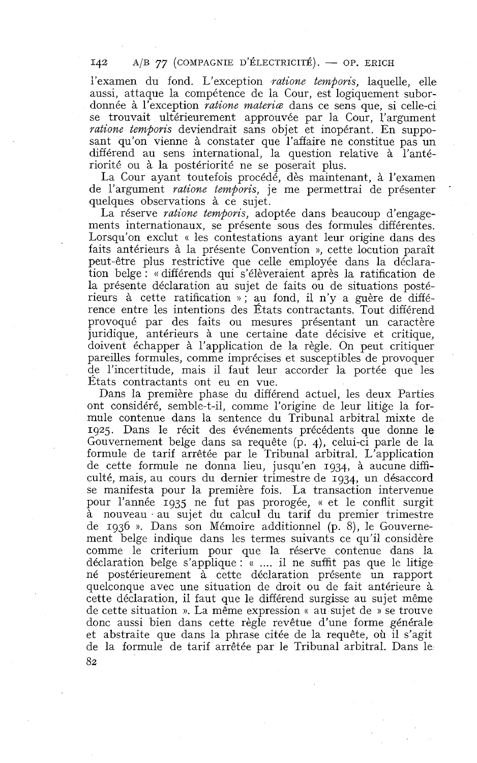#### I42  $A/B$  77 (COMPAGNIE D'ÉLECTRICITÉ). — OP. ERICH

l'examen du fond. L'exception *ratione temporis,* laquelle, elle aussi, attaque la compétence de la Cour, est logiquement subordonnée à l'exception *ratione materiæ* dans ce sens que, si celle-ci se trouvait ultérieurement approuvée par la Cour, l'argument *ratione temporis* deviendrait sans objet et inopérant. En supposant qu'on vienne à constater que l'affaire ne constitue pas un différend au sens international, la question relative à l'antériorité ou à la postériorité ne se poserait plus.

La Cour ayant toutefois procédé, dès maintenant, à l'examen de l'argument *ratione temporis*, je me permettrai de présenter quelques observations à ce sujet.

La réserve *ratione temporis,* adoptée dans beaucoup d'engagements internationaux, se présente sous des formules différentes. Lorsqu'on exclut « les contestations ayant leur origine dans des faits antérieurs à la présente Convention », cette locution parait peut-être plus restrictive que celle employée dans la déclaration belge : « différends qui s'élèveraient après la ratification de la présente déclaration au sujet de faits ou de situations postérieurs à cette ratification » ; au fond, il n'y a guère de différence entre les intentions des Etats contractants. Tout différend provoqué par des faits ou mesures présentant un caractère juridique, antérieurs à une certaine date décisive et critique, doivent échapper à l'application de la règle. On peut critiquer pareilles formules, comme imprécises et susceptibles de provoquer de l'incertitude, mais il faut leur accorder la portée que les Etats contractants ont eu en vue.

Dans la première phase du différend actuel, les deux Parties ont considéré, semble-t-il, comme l'origine de leur litige la formule contenue dans la sentence du Tribunal arbitral mixte de 1925. Dans le récit des événements précédents que donne le Gouvernement belge dans sa requête (p. 4), celui-ci parle de la formule de tarif arrêtée par le Tribunal arbitral. L'application de cette formule ne donna lieu, jusqu'en 1934, à aucune difficulté, mais, au cours du dernier trimestre de 1934, un désaccord se manifesta pour la première fois. La transaction intervenue pour l'année 1935 ne fut pas prorogée, « et le conflit surgit à nouveau au sujet du calcul du tarif du premier trimestre de 1936 ». Dans son Mémoire additionnel (p. 8), le Gouvernement belge indique dans les termes suivants ce qu'il considère comme le criterium pour que la réserve contenue dans la déclaration belge s'applique : « .... il ne suffit pas que le litige né postérieurement à cette déclaration présente un rapport quelconque avec une situation de droit ou de fait antérieure à cette déclaration, il faut que le différend surgisse au sujet même de cette situation ». La même expression « au sujet de » se trouve donc aussi bien dans cette règle revêtue d'une forme générale et abstraite que dans la phrase citée de la requête, où il s'agit de la formule de tarif arrêtée par le Tribunal arbitral. Dans le **82**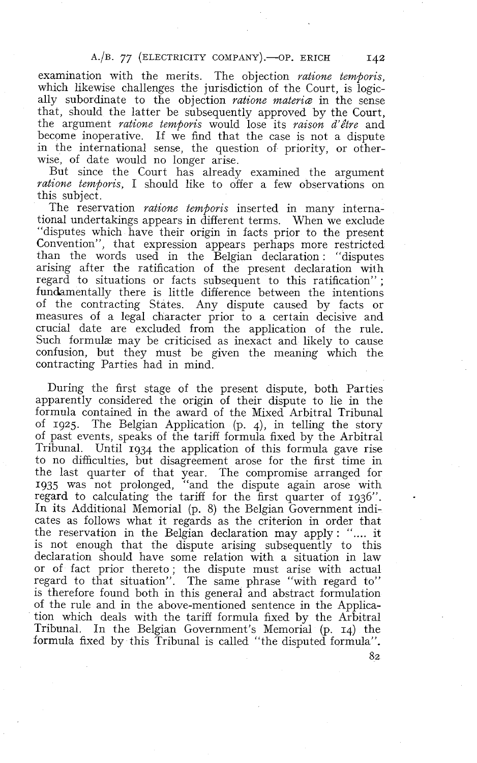examination with the merits. The objection *ratione temporis,*  which likewise challenges the jurisdiction of the Court, is logically subordinate to the objection *ratione materiæ* in the sense that, should the latter be subsequently approved by the Court, the argument *ratione temporis* would lose its *raison d'être* and become inoperative. If we find that the case is not a dispute in the international sense, the question of priority, or otherwise, of date would no longer arise.

But since the Court has already examined the argument *ratione temporis,* 1 should like to offer a few observations on this subject.

The reservation *ratione temporis* inserted in many international undertakings appears in different terms. When we exclude "disputes which have their origin in facts prior to the present Convention", that expression appears perhaps more restricted than the words used in the Belgian declaration : "disputes arising after the ratification of the present declaration with regard to situations or facts subsequent to this ratification" ; fundamentally there is little difference between the intentions of the contracting States. Any dispute caused by facts or measures of a legal character prior to a certain decisive and crucial date are excluded from the application of the rule. Such formulæ may be criticised as inexact and likely to cause confusion, but they must be given the meaning which the contracting Parties had in mind.

During the first stage of the present dispute, both Parties apparently considered the origin of their dispute to lie in the formula contained in the award of the Mixed Arbitral Tribunal of 1925. The Belgian Application (p. 4), in telling the story of past events, speaks of the tariff formula fixed by the Arbitral Tribunal. Until 1934 the application of this formula gave rise to no difficulties, but disagreement arose for the first time in the last quarter of that year. The compromise arranged for 1935 was not prolonged, "and the dispute again arose with regard to calculating the tariff for the first quarter of 1936". In its Additional Memorial (p. 8) the Belgian Government indicates as follows what it regards as the criterion in order that the reservation in the Belgian declaration may apply : ".... it is not enough that the dispute arising subsequently to this declaration should have some relation with a situation in law or of fact prior thereto; the dispute must arise with actual regard to that situation". The same phrase "with regard to" is therefore found both in this general and abstract formulation of the rule and in the above-mentioned sentence in the Application which deals with the tariff formula fixed by the Arbitral Tribunal. In the Belgian Government's Memorial (p. 14) the formula fixed by this Tribunal is called "the disputed formula".

142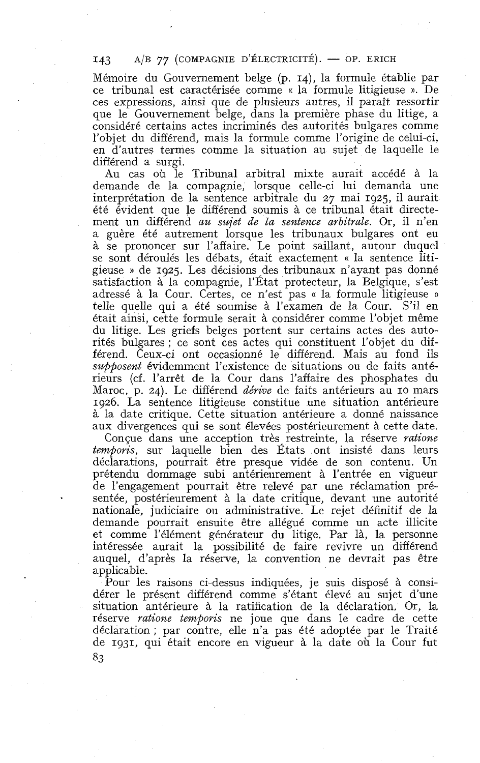#### $A/B$  77 (COMPAGNIE D'ÉLECTRICITÉ). — OP. ERICH 143

Mémoire du Gouvernement belge (p. 14), la formule établie par ce tribunal est caractérisée comme « la formule litigieuse ». De ces expressions, ainsi que de plusieurs autres, il parait ressortir que le Gouvernement belge, dans la première phase du litige, a considéré certains actes incriminés des autorités bulgares comme l'objet du différend, mais la formule comme l'origine de celui-ci. en d'autres termes comme la situation au sujet de laquelle le différend a surgi.

Au cas où le Tribunal arbitral mixte aurait accédé à la demande de la compagnie, lorsque celle-ci lui demanda une interprétation de la sentence arbitrale du 27 mai 1925, il aurait été évident que le différend soumis à ce tribunal était directement un différend *au sujet de la sentence arbitrale.* Or, il n'en a guère été autrement lorsque les tribunaux bulgares ont eu à se prononcer sur l'affaire. Le point saillant, autour duquel se sont déroulés les débats, était exactement « la sentence litigieuse » de 1925. Les décisions des tribunaux n'ayant pas donné satisfaction à la compagnie, 1'Etat protecteur, la Belgique, s'est adressé à la Cour. Certes, ce n'est pas « la formule litigieuse » telle quelle qui a été soumise à l'examen de la Cour. S'il en était ainsi, cette formule serait à considérer comme l'objet même du litige. Les griefs belges portent sur certains actes des autorités bulgares ; ce sont ces actes qui constituent l'objet du différend. Ceux-ci ont occasionné le différend. Mais au fond ils *sufiposent* évidemment l'existence de situations ou de faits antérieurs (cf. l'arrêt de la Cour dans l'affaire des phosphates du Maroc, p. 24). Le différend *dérive* de faits antérieurs au IO mars 1926. La sentence litigieuse constitue une situation antérieure à la date critique. Cette situation antérieure a donné naissance aux divergences qui se sont élevées postérieurement à cette date.

Conçue dans une acception très restreinte, la réserve *ratione temfioris,* sur laquelle bien des Etats ont insisté dans leurs déclarations, pourrait être presque vidée de son contenu. Un prétendu dommage subi antérieurement à l'entrée en vigueur de l'engagement pourrait être relevé par une réclamation présentée, postérieurement à la date critique, devant une autorité nationale, judiciaire ou administrative. Le rejet définitif de la demande pourrait ensuite être allégué comme un acte illicite et comme l'élément générateur du litige. Par là, la personne intéressée aurait la possibilité de faire revivre un différend auquel, d'après la réserve, la convention ne devrait pas être applicable.

Pour les raisons ci-dessus indiquées, je suis disposé à considérer le présent différend comme s'étant élevé au sujet d'une situation antérieure à la ratification de la déclaration. Or, la réserve *ratione temporis* ne joue que dans le cadre de cette déclaration ; par contre, elle n'a pas été adoptée par le Traité de 1931, qui était encore en vigueur à la date où la Cour fut *83*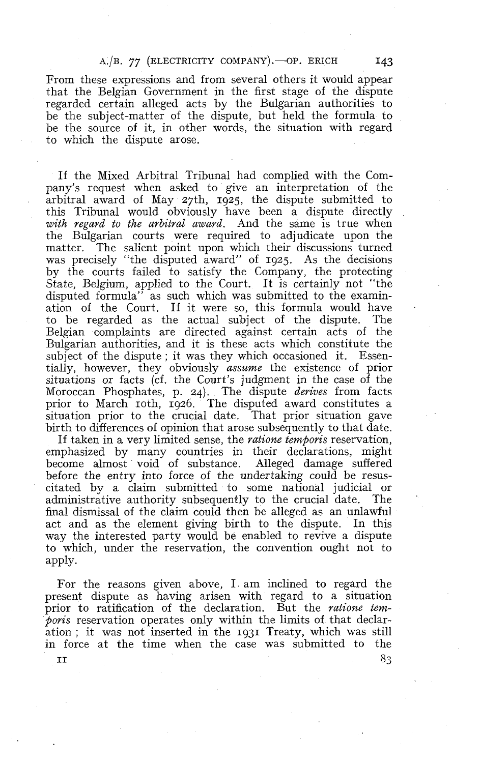From these expressions and from several others it would appear that the Belgian Government in the first stage of the dispute regarded certain alleged acts by the Bulgarian authorities to be the subject-matter of the dispute, but held the formula to be the source of it, in other words, the situation with regard to which the dispute arose.

If the Mixed Arbitral Tribunal had complied with the Company's request when asked to give an interpretation of the arbitral award of May 27th, 1925, the dispute submitted to this Tribunal would obviously have been a dispute directly *with regard to the arbitral award.* And the same is true when the Bulgarian courts were required to adjudicate upon the The salient point upon which their discussions turned was precisely "the disputed award" of 1925. As the decisions by the courts failed to satisfy the Company, the protecting State, Belgium, applied to the Court. It is certainly not "the disputed formula<sup>7</sup> as such which was submitted to the examination of the Court. If it were so, this formula would have<br>to be regarded as the actual subject of the dispute. The to be regarded as the actual subject of the dispute. Belgian complaints are directed against certain acts of the Bulgarian authorities, and it is these acts which constitute the subject of the dispute ; it was they which occasioned it. Essentially, however, they obviously *assume* the existence of prior situations or facts (cf. the Court's judgment in the case of the Moroccan Phosphates, p. 24). The dispute *derives* from facts prior to March roth, 1926. The disputed award constitutes a situation prior to the crucial date. That prior situation gave birth to differences of opinion that arose subsequently to that date.

If taken in a very limited sense, the *ratione temporis* reservation, emphasized by many countries in their declarations, might become almost void of substance. Alleged damage suffered before the entry into force of the undertaking could be resuscitated by a claim submitted to some national judicial or administrative authority subsequently to the crucial date. final dismissal of the claim could then be alleged as an unlawful act and as the element giving birth to the dispute. In this way the interested party would be enabled to revive a dispute to which, under the reservation, the convention ought not to apply.

For the reasons given above, 1 am inclined to regard the present dispute as having arisen with regard to a situation prior to ratification of the declaration. But the *ratione temporis* reservation operates only within the limits of that declaration ; it was not inserted in the 1931 Treaty, which was still in force at the time when the case was submitted to the II  $83$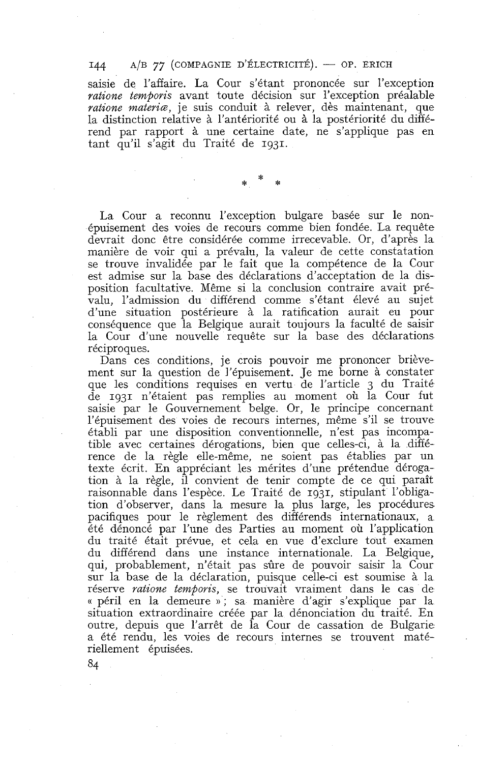#### $A/B$  77 (COMPAGNIE D'ÉLECTRICITÉ). — OP. ERICH 144

saisie de l'affaire. La Cour s'étant prononcée sur l'exception *ratione temporis* avant toute décision sur l'exception préalable *ratione materiæ,* je suis conduit à relever, dès maintenant, que la distinction relative à l'antériorité ou à la postériorité du différend par rapport à une certaine date, ne s'applique pas en tant qu'il s'agit du Traité de 1931.

La Cour a reconnu l'exception bulgare basée sur le nonépuisement des voies de recours comme bien fondée. La requête devrait donc être considérée comme irrecevable. Or, d'après la manière de voir qui a prévalu, la valeur de cette constatation se trouve invalidée par le fait que la compétence de la Cour est admise sur la base des déclarations d'acceptation de la disposition facultative. Même si la conclusion contraire avait prévalu, l'admission du différend comme s'étant élevé au sujet d'une situation postérieure à la ratification aurait eu pour conséquence que la Belgique aurait toujours la faculté de saisir la Cour d'une nouvelle requête sur la base des déclarations réciproques.

Dans ces conditions, je crois pouvoir me prononcer brièvement sur la question de l'épuisement. Je me borne à constater que les conditions requises en vertu de l'article 3 du Traité de 1931 n'étaient pas remplies au moment où la Cour fut saisie par le Gouvernement belge. Or, le principe concernant l'épuisement des voies de recours internes, même s'il se trouve établi par une disposition conventionnelle, n'est pas incompatible avec certaines dérogations, bien que celles-ci, à la différence de la règle elle-même, ne soient pas établies par un texte écrit. En appréciant les mérites d'une prétendue dérogation à la règle, il convient de tenir compte de ce qui paraît raisonnable dans l'espèce. Le Traité de 1931, stipulant l'obligation d'observer, dans la mesure la plus large, les procédures pacifiques pour le règlement des différends internationaux, a été dénoncé par l'une des Parties au moment où l'application du traité était prévue, et cela en vue d'exclure tout examen du différend dans une instance internationale. La Belgique, qui, probablement, n'était pas sûre de pouvoir saisir la Cour sur la base de la déclaration, puisque celle-ci est soumise à la réserve *ratione temporis,* se trouvait vraiment dans le cas de « péril en la demeure »; sa manière d'agir s'explique par la situation extraordinaire créée par la dénonciation du traité. En outre, depuis que l'arrêt de la Cour de cassation de Bulgarie a été rendu, les voies de recours internes se trouvent matériellement épuisées.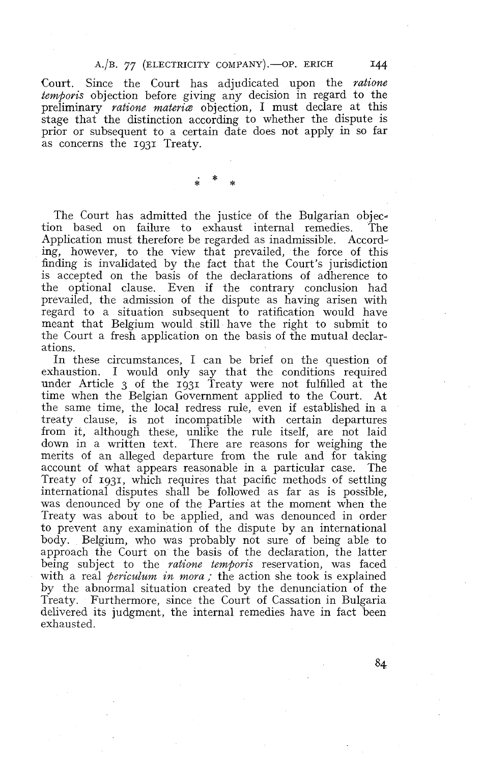Court. Since the Court has adjudicated upon the *ratione temporis* objection before giving any decision in regard to the preliminary *ratione materiæ* objection, **1** must declare at this stage that the distinction according to whether the dispute is prior or subsequent to a certain date does not apply in so far as concerns the 1931 Treaty.

The Court has admitted the justice of the Bulgarian objection based on failure to exhaust internal remedies. The Application must therefore be regarded as inadmissible. According, however, to the view that prevailed, the force of this finding is invalidated by the fact that the Court's jurisdiction is accepted on the basis of the declarations of adherence to the optional clause. Even if the contrary conclusion had prevailed, the admission of the dispute as having arisen with regard to a situation subsequent to ratification would have meant that Belgium would still have the right to submit to the Court a fresh application on the basis of the mutual declarations.

In these circumstances, 1 can be brief on the question of exhaustion. I would only say that the conditions required under Article 3 of the 1931 Treaty were not fulfilled at the time when the Belgian Government applied to the Court. At the same time, the local redress rule, even if established in a treaty clause, is not incompatible with certain departures from it, although these, unlike the rule itself, are not laid down in a written text. There are reasons for weighing the merits of an alleged departure from the rule and for taking account of what appears reasonable in a particular case. The Treaty of 1931, which requires that pacific methods of settling international disputes shall be followed as far as is possible, was denounced by one of the Parties at the moment when the Treaty was about to be applied, and was denounced in order to prevent any examination of the dispute by an international body. Belgium, who was probably not sure of being able to approach the Court on the basis of the declaration, the latter being subject to the *ratione tempovis* reservation, was faced approach the Court on the basis of the declaration, the latter<br>being subject to the *ratione temporis* reservation, was faced<br>with a real *periculum in mora*; the action she took is explained<br>by the abundance in the dumnit by the abnormal situation created by the denunciation of the Treaty. Furthermore, since the Court of Cassation in Bulgaria delivered its judgment, the internal remedies have in fact been exhausted.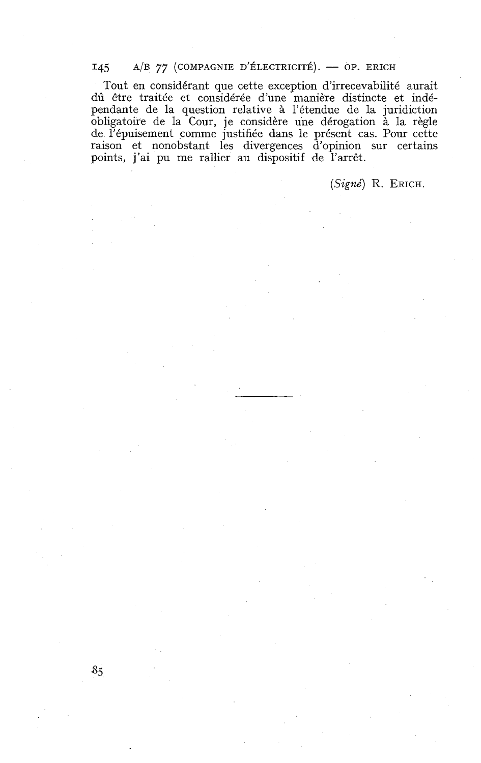#### A/B 77 (COMPAGNIE D'ÉLECTRICITÉ). - OP. ERICH **I45**

Tout en considérant que cette exception d'irrecevabilité aurait dû être traitée et considérée d'une manière distincte et indépendante de la question relative à l'étendue de la juridiction obligatoire de la Cour, je considère une dérogation à la règle de l'épuisement comme justifiée dans le présent cas. Pour cette raison et nonobstant les divergences d'opinion sur certains points, j'ai pu me rallier au dispositif de l'arrêt.

(Signé) R. ERICH.